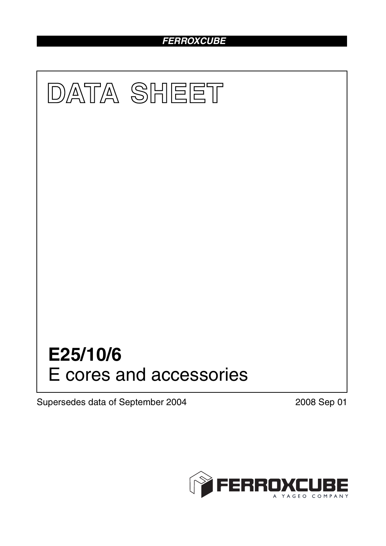# *FERROXCUBE*



Supersedes data of September 2004 2008 Sep 01

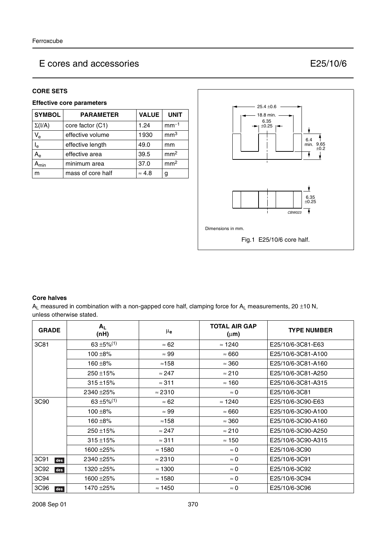#### **CORE SETS**

### **Effective core parameters**

| <b>SYMBOL</b>             | <b>PARAMETER</b>  | <b>VALUE</b>  | <b>UNIT</b>     |
|---------------------------|-------------------|---------------|-----------------|
| $\Sigma(I/A)$             | core factor (C1)  | 1.24          | $mm-1$          |
| $V_{e}$                   | effective volume  | 1930          | mm <sup>3</sup> |
| l <sub>e</sub>            | effective length  | 49.0          | mm              |
| $A_{\rm e}$               | effective area    | 39.5          | mm <sup>2</sup> |
| $\mathbf{A}_{\text{min}}$ | minimum area      | 37.0          | mm <sup>2</sup> |
| m                         | mass of core half | $\approx 4.8$ | g               |



#### **Core halves**

 $A_L$  measured in combination with a non-gapped core half, clamping force for  $A_L$  measurements, 20 ±10 N, unless otherwise stated.

| <b>GRADE</b> | $A_L$<br>(nH) | $\mu_{\mathbf{e}}$ | <b>TOTAL AIR GAP</b><br>$(\mu m)$ | <b>TYPE NUMBER</b> |
|--------------|---------------|--------------------|-----------------------------------|--------------------|
| 3C81         | $63 + 5\%/1)$ | $\approx 62$       | $\approx$ 1240                    | E25/10/6-3C81-E63  |
|              | $100 + 8%$    | $\approx 99$       | $\approx 660$                     | E25/10/6-3C81-A100 |
|              | $160 + 8%$    | $\approx$ 158      | $\approx 360$                     | E25/10/6-3C81-A160 |
|              | $250 + 15%$   | $\approx$ 247      | $\approx 210$                     | E25/10/6-3C81-A250 |
|              | $315 + 15%$   | $\approx$ 311      | $\approx$ 160                     | E25/10/6-3C81-A315 |
|              | 2340 ± 25%    | $\approx$ 2310     | $\approx 0$                       | E25/10/6-3C81      |
| 3C90         | 63 ±5% $(1)$  | $\approx 62$       | $\approx$ 1240                    | E25/10/6-3C90-E63  |
|              | $100 + 8\%$   | $\approx 99$       | $\approx 660$                     | E25/10/6-3C90-A100 |
|              | 160 $\pm$ 8%  | $\approx$ 158      | $\approx 360$                     | E25/10/6-3C90-A160 |
|              | $250 + 15%$   | $\approx$ 247      | $\approx 210$                     | E25/10/6-3C90-A250 |
|              | $315 + 15%$   | $\approx$ 311      | $\approx$ 150                     | E25/10/6-3C90-A315 |
|              | 1600 ± 25%    | $\approx$ 1580     | $\approx 0$                       | E25/10/6-3C90      |
| 3C91<br>des  | 2340 ± 25%    | $\approx$ 2310     | $\approx 0$                       | E25/10/6-3C91      |
| 3C92<br>des  | 1320 ± 25%    | $\approx$ 1300     | $\approx 0$                       | E25/10/6-3C92      |
| 3C94         | 1600 ± 25%    | $\approx$ 1580     | $\approx 0$                       | E25/10/6-3C94      |
| 3C96<br>des  | 1470 ±25%     | $\approx$ 1450     | $\approx 0$                       | E25/10/6-3C96      |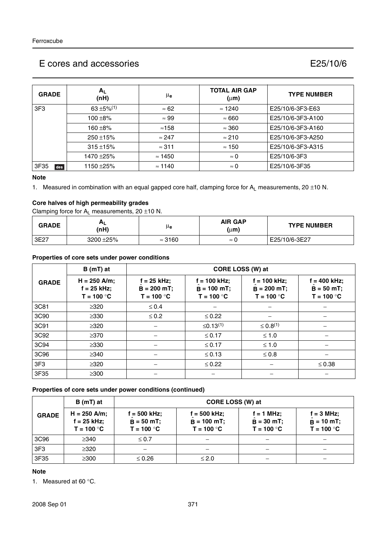| <b>GRADE</b>    | $A_L$<br>(nH)             | μe             | <b>TOTAL AIR GAP</b><br>$(\mu m)$ | <b>TYPE NUMBER</b> |
|-----------------|---------------------------|----------------|-----------------------------------|--------------------|
| 3F <sub>3</sub> | $63 + 5\%$ <sup>(1)</sup> | $\approx 62$   | $\approx$ 1240                    | E25/10/6-3F3-E63   |
|                 | 100 $\pm$ 8%              | $\approx 99$   | $\approx 660$                     | E25/10/6-3F3-A100  |
|                 | 160 $\pm$ 8%              | ≈158           | $\approx 360$                     | E25/10/6-3F3-A160  |
|                 | $250 + 15%$               | $\approx$ 247  | $\approx 210$                     | E25/10/6-3F3-A250  |
|                 | $315 + 15%$               | $\approx$ 311  | $\approx$ 150                     | E25/10/6-3F3-A315  |
|                 | 1470 ±25%                 | $\approx$ 1450 | $\approx 0$                       | E25/10/6-3F3       |
| 3F35<br>des     | 1150 ±25%                 | $\approx$ 1140 | $\approx 0$                       | E25/10/6-3F35      |

#### **Note**

1. Measured in combination with an equal gapped core half, clamping force for  $A_L$  measurements, 20 ±10 N.

## **Core halves of high permeability grades**

Clamping force for  $A_L$  measurements, 20  $\pm$ 10 N.

| <b>GRADE</b> | (nH)      | μe             | <b>AIR GAP</b><br>$(\mu m)$ | <b>TYPE NUMBER</b> |
|--------------|-----------|----------------|-----------------------------|--------------------|
| 3E27         | 3200 ±25% | $\approx$ 3160 | $\approx$                   | E25/10/6-3E27      |

#### **Properties of core sets under power conditions**

|                 | $B(mT)$ at                                      |                                                | CORE LOSS (W) at                                |                                                  |                                                 |
|-----------------|-------------------------------------------------|------------------------------------------------|-------------------------------------------------|--------------------------------------------------|-------------------------------------------------|
| <b>GRADE</b>    | $H = 250$ A/m;<br>$f = 25$ kHz;<br>$T = 100 °C$ | $f = 25$ kHz;<br>$B = 200$ mT;<br>$T = 100 °C$ | $f = 100$ kHz;<br>$B = 100$ mT;<br>$T = 100 °C$ | $f = 100$ kHz;<br>$B = 200 mT$ ;<br>$T = 100 °C$ | $f = 400$ kHz;<br>$B = 50 mT$ ;<br>$T = 100 °C$ |
| 3C81            | $\geq 320$                                      | $\leq 0.4$                                     |                                                 |                                                  |                                                 |
| 3C90            | $\geq$ 330                                      | $\leq 0.2$                                     | $\leq 0.22$                                     |                                                  |                                                 |
| 3C91            | $\geq 320$                                      |                                                | ≤0.13 <sup>(1)</sup>                            | $\leq 0.8^{(1)}$                                 |                                                 |
| 3C92            | $\geq$ 370                                      |                                                | $≤ 0.17$                                        | $\leq 1.0$                                       |                                                 |
| 3C94            | $\geq$ 330                                      |                                                | $≤ 0.17$                                        | $\leq 1.0$                                       |                                                 |
| 3C96            | $\geq$ 340                                      |                                                | $\leq$ 0.13                                     | $\leq 0.8$                                       |                                                 |
| 3F <sub>3</sub> | $\geq 320$                                      |                                                | $\leq 0.22$                                     |                                                  | $\leq 0.38$                                     |
| 3F35            | $\geq$ 300                                      |                                                |                                                 |                                                  |                                                 |

#### **Properties of core sets under power conditions (continued)**

| $B(mT)$ at      |                                                 | CORE LOSS (W) at                              |                                                 |                                            |                                                     |  |
|-----------------|-------------------------------------------------|-----------------------------------------------|-------------------------------------------------|--------------------------------------------|-----------------------------------------------------|--|
| <b>GRADE</b>    | $H = 250$ A/m;<br>$f = 25$ kHz;<br>$T = 100 °C$ | i = 500 kHz;<br>$B = 50 mT$ ;<br>$T = 100 °C$ | $f = 500$ kHz;<br>$B = 100$ mT;<br>$T = 100 °C$ | f = 1 MHz;<br>$B = 30$ mT;<br>$T = 100 °C$ | $f = 3 MHz$ ;<br>$\hat{B} = 10$ mT;<br>$T = 100 °C$ |  |
| 3C96            | $\geq$ 340                                      | $\leq 0.7$                                    |                                                 |                                            |                                                     |  |
| 3F <sub>3</sub> | $\geq$ 320                                      |                                               |                                                 |                                            |                                                     |  |
| 3F35            | $\geq$ 300                                      | $\leq 0.26$                                   | $\leq 2.0$                                      |                                            |                                                     |  |

## **Note**

1. Measured at 60 °C.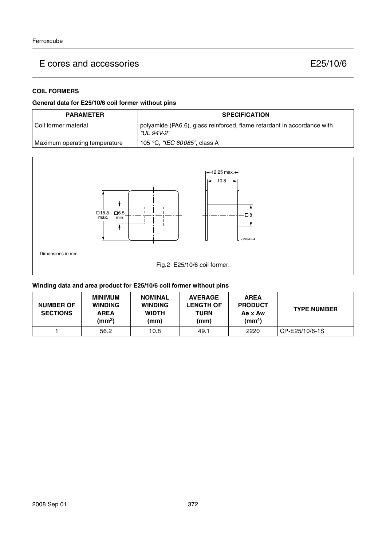## **COIL FORMERS**

### **General data for E25/10/6 coil former without pins**

| <b>PARAMETER</b>              | <b>SPECIFICATION</b>                                                                  |
|-------------------------------|---------------------------------------------------------------------------------------|
| l Coil former material        | polyamide (PA6.6), glass reinforced, flame retardant in accordance with<br>"UL 94V-2" |
| Maximum operating temperature | 105 °C, <i>"IEC 60085"</i> , class A                                                  |



## **Winding data and area product for E25/10/6 coil former without pins**

| <b>NUMBER OF</b><br><b>SECTIONS</b> | <b>MINIMUM</b><br><b>WINDING</b><br><b>AREA</b><br>(mm <sup>2</sup> ) | <b>NOMINAL</b><br><b>WINDING</b><br><b>WIDTH</b><br>(mm) | <b>AVERAGE</b><br><b>LENGTH OF</b><br>TURN<br>(mm) | <b>AREA</b><br><b>PRODUCT</b><br>Ae x Aw<br>(mm <sup>4</sup> ) | <b>TYPE NUMBER</b> |
|-------------------------------------|-----------------------------------------------------------------------|----------------------------------------------------------|----------------------------------------------------|----------------------------------------------------------------|--------------------|
|                                     | 56.2                                                                  | 10.8                                                     | 49.1                                               | 2220                                                           | CP-E25/10/6-1S     |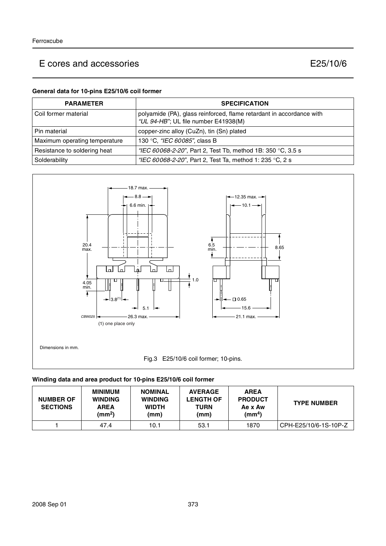#### **General data for 10-pins E25/10/6 coil former**

| <b>PARAMETER</b>              | <b>SPECIFICATION</b>                                                                                         |
|-------------------------------|--------------------------------------------------------------------------------------------------------------|
| l Coil former material        | polyamide (PA), glass reinforced, flame retardant in accordance with<br>"UL 94-HB"; UL file number E41938(M) |
| l Pin material                | copper-zinc alloy (CuZn), tin (Sn) plated                                                                    |
| Maximum operating temperature | 130 °C, "IEC 60085", class B                                                                                 |
| Resistance to soldering heat  | "IEC 60068-2-20", Part 2, Test Tb, method 1B: 350 °C, 3.5 s                                                  |
| Solderability                 | "IEC 60068-2-20", Part 2, Test Ta, method 1: 235 °C, 2 s                                                     |



#### **Winding data and area product for 10-pins E25/10/6 coil former**

| <b>NUMBER OF</b><br><b>SECTIONS</b> | <b>MINIMUM</b><br><b>WINDING</b><br><b>AREA</b><br>(mm <sup>2</sup> ) | <b>NOMINAL</b><br><b>WINDING</b><br><b>WIDTH</b><br>(mm) | <b>AVERAGE</b><br><b>LENGTH OF</b><br><b>TURN</b><br>(mm) | <b>AREA</b><br><b>PRODUCT</b><br>Ae x Aw<br>$\text{(mm}^4)$ | <b>TYPE NUMBER</b>      |
|-------------------------------------|-----------------------------------------------------------------------|----------------------------------------------------------|-----------------------------------------------------------|-------------------------------------------------------------|-------------------------|
|                                     | 47.4                                                                  | 10.1                                                     | 53.1                                                      | 1870                                                        | l CPH-E25/10/6-1S-10P-Z |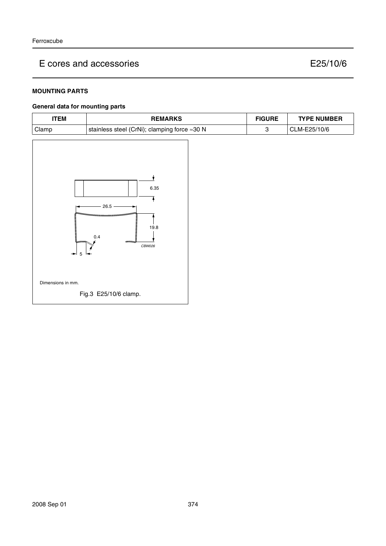### **MOUNTING PARTS**

## **General data for mounting parts**

| <b>ITEM</b>                                   | <b>REMARKS</b>                               | <b>FIGURE</b> | <b>TYPE NUMBER</b> |
|-----------------------------------------------|----------------------------------------------|---------------|--------------------|
| Clamp                                         | stainless steel (CrNi); clamping force ≈30 N | 3             | CLM-E25/10/6       |
| $\blacktriangleright$ 5 $\blacktriangleright$ | 6.35<br>$26.5 -$<br>19.8<br>0.4<br>CBW026    |               |                    |
| Dimensions in mm.                             |                                              |               |                    |
|                                               | Fig.3 E25/10/6 clamp.                        |               |                    |